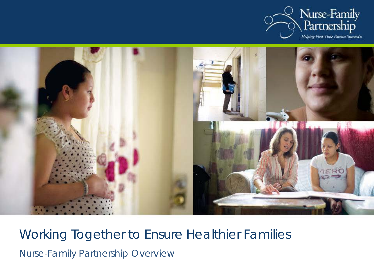



Working Together to Ensure Healthier Families Nurse-Family Partnership Overview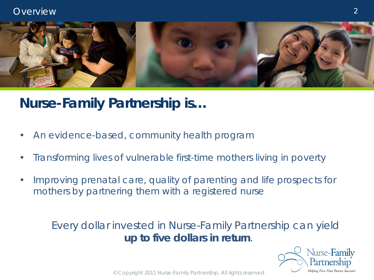

# **Nurse-Family Partnership is…**

- An evidence-based, community health program
- Transforming lives of vulnerable first-time mothers living in poverty
- Improving prenatal care, quality of parenting and life prospects for mothers by partnering them with a registered nurse

### Every dollar invested in Nurse-Family Partnership can yield **up to five dollars in return**.

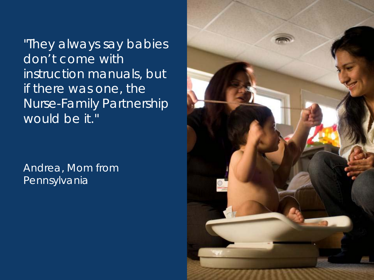"They always say babies don't come with instruction manuals, but if there was one, the Nurse -Family Partnership would be it."

Andrea, Mom from Pennsylvania

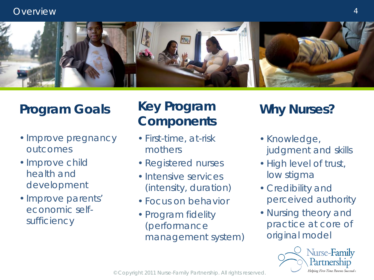

# **Program Goals**

- •Improve pregnancy outcomes
- •Improve child health and development
- •Improve parents' economic selfsufficiency

# **Key Program Components Why Nurses?**

- First-time, at-risk mothers
- Registered nurses
- Intensive services (intensity, duration)
- Focus on behavior
- Program fidelity (performance management system)

- Knowledge, judgment and skills
- High level of trust, low stigma
- Credibility and perceived authority
- Nursing theory and practice at core of original model

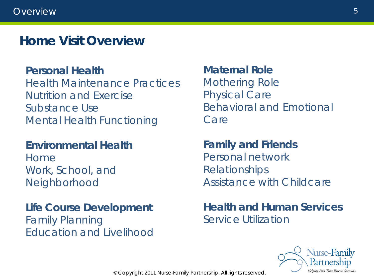## **Home Visit Overview**

### **Personal Health**

Health Maintenance Practices Nutrition and Exercise Substance Use Mental Health Functioning

### **Environmental Health**

Home Work, School, and Neighborhood

**Life Course Development** Family Planning Education and Livelihood

### **Maternal Role** Mothering Role Physical Care Behavioral and Emotional Care

**Family and Friends** Personal network Relationships Assistance with Childcare

**Health and Human Services** Service Utilization

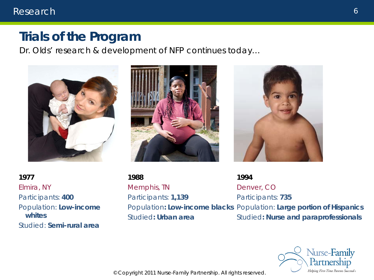### **Trials of the Program**

*Dr. Olds' research & development of NFP continues today…*







**1977** Elmira, NY Participants: **400** Population: **Low-income whites** Studied: **Semi-rural area**

**1988** Memphis, TN Participants: **1,139** Population**: Low-income blacks** Population: **Large portion of Hispanics** Studied**: Urban area 1994** Denver, CO Participants: **735** Studied**: Nurse and paraprofessionals**

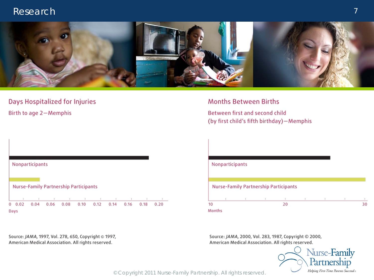

#### Days Hospitalized for Injuries

Birth to age 2-Memphis



Source: JAMA, 1997, Vol. 278, 650, Copyright @ 1997, American Medical Association. All rights reserved.

#### **Months Between Births**

Between first and second child (by first child's fifth birthday)-Memphis



Source: JAMA, 2000, Vol. 283, 1987, Copyright © 2000, American Medical Association. All rights reserved.

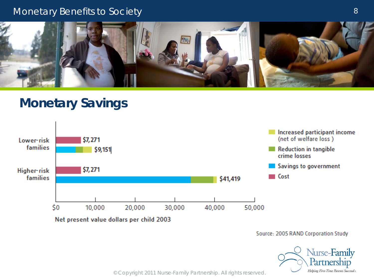#### Monetary Benefits to Society



### **Monetary Savings**



Net present value dollars per child 2003

Source: 2005 RAND Corporation Study

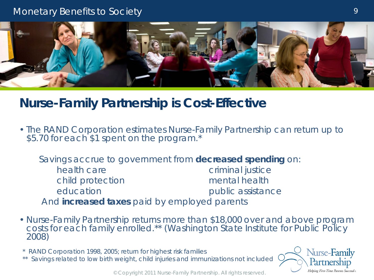### Monetary Benefits to Society



### **Nurse-Family Partnership is Cost-Effective**

• The RAND Corporation estimates Nurse-Family Partnership can return up to \$5.70 for each \$1 spent on the program.\*

 Savings accrue to government from **decreased spending** on: health care **criminal** justice child protection mental health education education public assistance And **increased taxes** paid by employed parents

- Nurse-Family Partnership returns more than \$18,000 over and above program costs for each family enrolled.\*\* *(Washington State Institute for Public Policy 2008)*
- *\* RAND Corporation 1998, 2005; return for highest risk families*
- *\*\* Savings related to low birth weight, child injuries and immunizations not included*

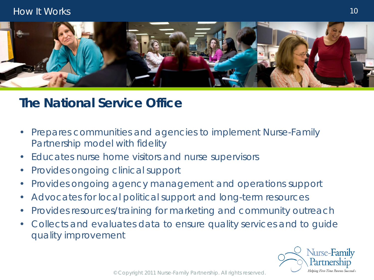

## **The National Service Office**

- Prepares communities and agencies to implement Nurse-Family Partnership model with fidelity
- Educates nurse home visitors and nurse supervisors
- Provides ongoing clinical support
- Provides ongoing agency management and operations support
- Advocates for local political support and long-term resources
- Provides resources/training for marketing and community outreach
- Collects and evaluates data to ensure quality services and to guide quality improvement

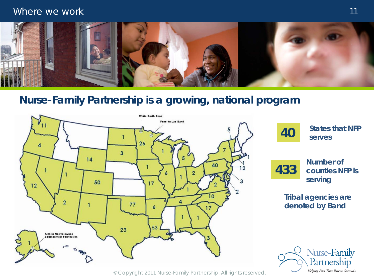#### Where we work



### **Nurse-Family Partnership is a growing, national program**

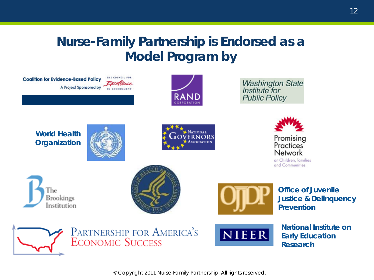# **Nurse-Family Partnership is Endorsed as a Model Program by**

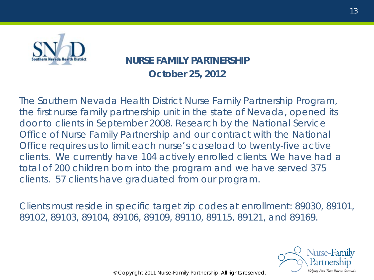

### **NURSE FAMILY PARTNERSHIP October 25, 2012**

The Southern Nevada Health District Nurse Family Partnership Program, the first nurse family partnership unit in the state of Nevada, opened its door to clients in September 2008. Research by the National Service Office of Nurse Family Partnership and our contract with the National Office requires us to limit each nurse's caseload to twenty-five active clients. We currently have 104 actively enrolled clients. We have had a total of 200 children born into the program and we have served 375 clients. 57 clients have graduated from our program.

Clients must reside in specific target zip codes at enrollment: 89030, 89101, 89102, 89103, 89104, 89106, 89109, 89110, 89115, 89121, and 89169.